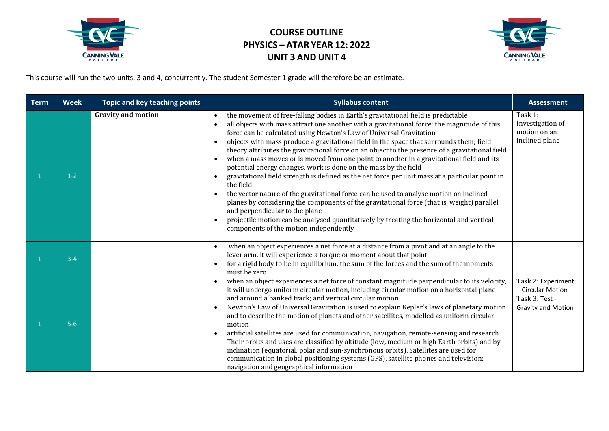

## **COURSE OUTLINE PHYSICS – ATAR YEAR 12: 2022 UNIT 3 AND UNIT 4**



This course will run the two units, 3 and 4, concurrently. The student Semester 1 grade will therefore be an estimate.

| <b>Term</b> | <b>Week</b> | Topic and key teaching points | <b>Syllabus content</b>                                                                                                                                                                                                                                                                                                                                                                                                                                                                                                                                                                                                                                                                                                                                                                                                                                                                                                                                                                                                                                                                                                                     | <b>Assessment</b>                                                                      |
|-------------|-------------|-------------------------------|---------------------------------------------------------------------------------------------------------------------------------------------------------------------------------------------------------------------------------------------------------------------------------------------------------------------------------------------------------------------------------------------------------------------------------------------------------------------------------------------------------------------------------------------------------------------------------------------------------------------------------------------------------------------------------------------------------------------------------------------------------------------------------------------------------------------------------------------------------------------------------------------------------------------------------------------------------------------------------------------------------------------------------------------------------------------------------------------------------------------------------------------|----------------------------------------------------------------------------------------|
|             | $1-2$       | <b>Gravity and motion</b>     | the movement of free-falling bodies in Earth's gravitational field is predictable<br>$\bullet$<br>all objects with mass attract one another with a gravitational force; the magnitude of this<br>$\bullet$<br>force can be calculated using Newton's Law of Universal Gravitation<br>objects with mass produce a gravitational field in the space that surrounds them; field<br>theory attributes the gravitational force on an object to the presence of a gravitational field<br>when a mass moves or is moved from one point to another in a gravitational field and its<br>$\bullet$<br>potential energy changes, work is done on the mass by the field<br>gravitational field strength is defined as the net force per unit mass at a particular point in<br>the field<br>the vector nature of the gravitational force can be used to analyse motion on inclined<br>planes by considering the components of the gravitational force (that is, weight) parallel<br>and perpendicular to the plane<br>projectile motion can be analysed quantitatively by treating the horizontal and vertical<br>components of the motion independently | Task 1:<br>Investigation of<br>motion on an<br>inclined plane                          |
|             | $3 - 4$     |                               | when an object experiences a net force at a distance from a pivot and at an angle to the<br>lever arm, it will experience a torque or moment about that point<br>for a rigid body to be in equilibrium, the sum of the forces and the sum of the moments<br>must be zero                                                                                                                                                                                                                                                                                                                                                                                                                                                                                                                                                                                                                                                                                                                                                                                                                                                                    |                                                                                        |
|             | $5-6$       |                               | when an object experiences a net force of constant magnitude perpendicular to its velocity,<br>it will undergo uniform circular motion, including circular motion on a horizontal plane<br>and around a banked track; and vertical circular motion<br>Newton's Law of Universal Gravitation is used to explain Kepler's laws of planetary motion<br>$\bullet$<br>and to describe the motion of planets and other satellites, modelled as uniform circular<br>motion<br>artificial satellites are used for communication, navigation, remote-sensing and research.<br>Their orbits and uses are classified by altitude (low, medium or high Earth orbits) and by<br>inclination (equatorial, polar and sun-synchronous orbits). Satellites are used for<br>communication in global positioning systems (GPS), satellite phones and television;<br>navigation and geographical information                                                                                                                                                                                                                                                    | Task 2: Experiment<br>- Circular Motion<br>Task 3: Test -<br><b>Gravity and Motion</b> |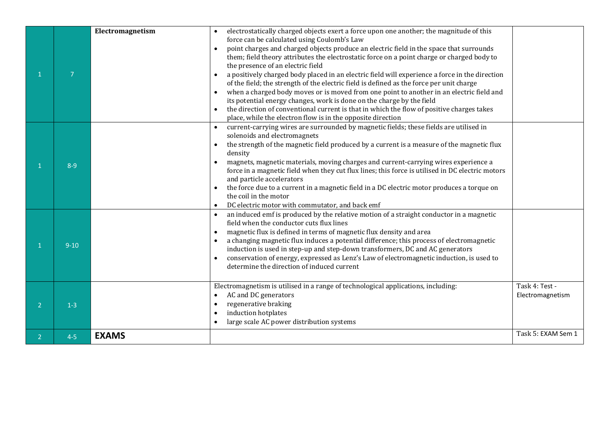|                | $\overline{7}$ | Electromagnetism | electrostatically charged objects exert a force upon one another; the magnitude of this<br>force can be calculated using Coulomb's Law<br>point charges and charged objects produce an electric field in the space that surrounds<br>$\bullet$<br>them; field theory attributes the electrostatic force on a point charge or charged body to<br>the presence of an electric field<br>a positively charged body placed in an electric field will experience a force in the direction<br>of the field; the strength of the electric field is defined as the force per unit charge<br>when a charged body moves or is moved from one point to another in an electric field and<br>its potential energy changes, work is done on the charge by the field<br>the direction of conventional current is that in which the flow of positive charges takes |                                    |
|----------------|----------------|------------------|---------------------------------------------------------------------------------------------------------------------------------------------------------------------------------------------------------------------------------------------------------------------------------------------------------------------------------------------------------------------------------------------------------------------------------------------------------------------------------------------------------------------------------------------------------------------------------------------------------------------------------------------------------------------------------------------------------------------------------------------------------------------------------------------------------------------------------------------------|------------------------------------|
|                | $8 - 9$        |                  | place, while the electron flow is in the opposite direction<br>current-carrying wires are surrounded by magnetic fields; these fields are utilised in<br>solenoids and electromagnets<br>the strength of the magnetic field produced by a current is a measure of the magnetic flux<br>density<br>magnets, magnetic materials, moving charges and current-carrying wires experience a<br>force in a magnetic field when they cut flux lines; this force is utilised in DC electric motors<br>and particle accelerators<br>the force due to a current in a magnetic field in a DC electric motor produces a torque on<br>$\bullet$<br>the coil in the motor<br>DC electric motor with commutator, and back emf<br>$\bullet$                                                                                                                        |                                    |
|                | $9 - 10$       |                  | an induced emf is produced by the relative motion of a straight conductor in a magnetic<br>$\bullet$<br>field when the conductor cuts flux lines<br>magnetic flux is defined in terms of magnetic flux density and area<br>$\bullet$<br>a changing magnetic flux induces a potential difference; this process of electromagnetic<br>$\bullet$<br>induction is used in step-up and step-down transformers, DC and AC generators<br>conservation of energy, expressed as Lenz's Law of electromagnetic induction, is used to<br>determine the direction of induced current                                                                                                                                                                                                                                                                          |                                    |
| $\overline{2}$ | $1 - 3$        |                  | Electromagnetism is utilised in a range of technological applications, including:<br>AC and DC generators<br>$\bullet$<br>regenerative braking<br>$\bullet$<br>induction hotplates<br>$\bullet$<br>large scale AC power distribution systems<br>$\bullet$                                                                                                                                                                                                                                                                                                                                                                                                                                                                                                                                                                                         | Task 4: Test -<br>Electromagnetism |
| $\overline{2}$ | $4 - 5$        | <b>EXAMS</b>     |                                                                                                                                                                                                                                                                                                                                                                                                                                                                                                                                                                                                                                                                                                                                                                                                                                                   | Task 5: EXAM Sem 1                 |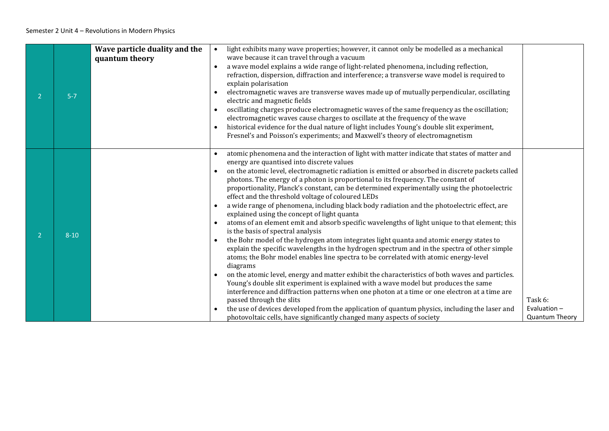| $\overline{2}$ | $5 - 7$  | Wave particle duality and the<br>quantum theory | light exhibits many wave properties; however, it cannot only be modelled as a mechanical<br>wave because it can travel through a vacuum<br>a wave model explains a wide range of light-related phenomena, including reflection,<br>$\bullet$<br>refraction, dispersion, diffraction and interference; a transverse wave model is required to<br>explain polarisation<br>electromagnetic waves are transverse waves made up of mutually perpendicular, oscillating<br>$\bullet$<br>electric and magnetic fields<br>oscillating charges produce electromagnetic waves of the same frequency as the oscillation;<br>electromagnetic waves cause charges to oscillate at the frequency of the wave<br>historical evidence for the dual nature of light includes Young's double slit experiment,<br>$\bullet$<br>Fresnel's and Poisson's experiments; and Maxwell's theory of electromagnetism                                                                                                                                                                                                                                                                                                                                                                                                                                                                                                                                                                                                                                                                                                                                         |                                                    |
|----------------|----------|-------------------------------------------------|-----------------------------------------------------------------------------------------------------------------------------------------------------------------------------------------------------------------------------------------------------------------------------------------------------------------------------------------------------------------------------------------------------------------------------------------------------------------------------------------------------------------------------------------------------------------------------------------------------------------------------------------------------------------------------------------------------------------------------------------------------------------------------------------------------------------------------------------------------------------------------------------------------------------------------------------------------------------------------------------------------------------------------------------------------------------------------------------------------------------------------------------------------------------------------------------------------------------------------------------------------------------------------------------------------------------------------------------------------------------------------------------------------------------------------------------------------------------------------------------------------------------------------------------------------------------------------------------------------------------------------------|----------------------------------------------------|
| $\overline{2}$ | $8 - 10$ |                                                 | atomic phenomena and the interaction of light with matter indicate that states of matter and<br>energy are quantised into discrete values<br>on the atomic level, electromagnetic radiation is emitted or absorbed in discrete packets called<br>$\bullet$<br>photons. The energy of a photon is proportional to its frequency. The constant of<br>proportionality, Planck's constant, can be determined experimentally using the photoelectric<br>effect and the threshold voltage of coloured LEDs<br>a wide range of phenomena, including black body radiation and the photoelectric effect, are<br>$\bullet$<br>explained using the concept of light quanta<br>atoms of an element emit and absorb specific wavelengths of light unique to that element; this<br>$\bullet$<br>is the basis of spectral analysis<br>the Bohr model of the hydrogen atom integrates light quanta and atomic energy states to<br>explain the specific wavelengths in the hydrogen spectrum and in the spectra of other simple<br>atoms; the Bohr model enables line spectra to be correlated with atomic energy-level<br>diagrams<br>on the atomic level, energy and matter exhibit the characteristics of both waves and particles.<br>Young's double slit experiment is explained with a wave model but produces the same<br>interference and diffraction patterns when one photon at a time or one electron at a time are<br>passed through the slits<br>the use of devices developed from the application of quantum physics, including the laser and<br>$\bullet$<br>photovoltaic cells, have significantly changed many aspects of society | Task 6:<br>Evaluation $-$<br><b>Quantum Theory</b> |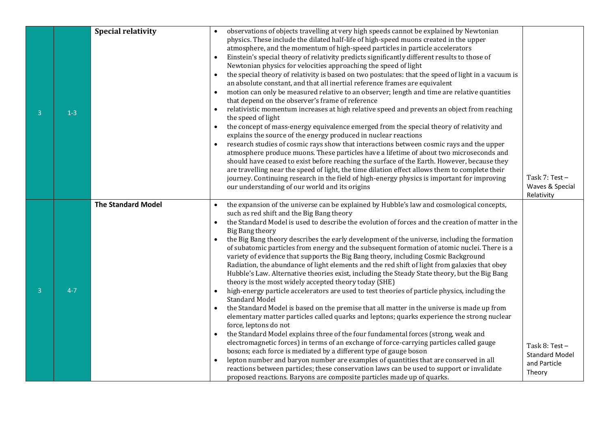|                |         | <b>Special relativity</b> |           | observations of objects travelling at very high speeds cannot be explained by Newtonian                                                                       |                       |
|----------------|---------|---------------------------|-----------|---------------------------------------------------------------------------------------------------------------------------------------------------------------|-----------------------|
|                |         |                           |           | physics. These include the dilated half-life of high-speed muons created in the upper                                                                         |                       |
|                |         |                           |           | atmosphere, and the momentum of high-speed particles in particle accelerators                                                                                 |                       |
|                |         |                           |           | Einstein's special theory of relativity predicts significantly different results to those of                                                                  |                       |
|                |         |                           |           | Newtonian physics for velocities approaching the speed of light                                                                                               |                       |
|                |         |                           | $\bullet$ | the special theory of relativity is based on two postulates: that the speed of light in a vacuum is                                                           |                       |
|                |         |                           |           | an absolute constant, and that all inertial reference frames are equivalent                                                                                   |                       |
|                |         |                           |           | motion can only be measured relative to an observer; length and time are relative quantities                                                                  |                       |
|                |         |                           |           | that depend on the observer's frame of reference                                                                                                              |                       |
| 3              | $1 - 3$ |                           |           | relativistic momentum increases at high relative speed and prevents an object from reaching                                                                   |                       |
|                |         |                           |           | the speed of light                                                                                                                                            |                       |
|                |         |                           | $\bullet$ | the concept of mass-energy equivalence emerged from the special theory of relativity and                                                                      |                       |
|                |         |                           |           | explains the source of the energy produced in nuclear reactions<br>research studies of cosmic rays show that interactions between cosmic rays and the upper   |                       |
|                |         |                           |           | atmosphere produce muons. These particles have a lifetime of about two microseconds and                                                                       |                       |
|                |         |                           |           | should have ceased to exist before reaching the surface of the Earth. However, because they                                                                   |                       |
|                |         |                           |           | are travelling near the speed of light, the time dilation effect allows them to complete their                                                                |                       |
|                |         |                           |           | journey. Continuing research in the field of high-energy physics is important for improving                                                                   | Task $7:$ Test $-$    |
|                |         |                           |           | our understanding of our world and its origins                                                                                                                | Waves & Special       |
|                |         |                           |           |                                                                                                                                                               | Relativity            |
|                |         | <b>The Standard Model</b> |           | the expansion of the universe can be explained by Hubble's law and cosmological concepts,                                                                     |                       |
|                |         |                           |           | such as red shift and the Big Bang theory                                                                                                                     |                       |
|                |         |                           | $\bullet$ | the Standard Model is used to describe the evolution of forces and the creation of matter in the                                                              |                       |
|                |         |                           |           | <b>Big Bang theory</b><br>the Big Bang theory describes the early development of the universe, including the formation                                        |                       |
|                |         |                           |           | of subatomic particles from energy and the subsequent formation of atomic nuclei. There is a                                                                  |                       |
|                |         |                           |           | variety of evidence that supports the Big Bang theory, including Cosmic Background                                                                            |                       |
|                |         |                           |           | Radiation, the abundance of light elements and the red shift of light from galaxies that obey                                                                 |                       |
|                |         |                           |           | Hubble's Law. Alternative theories exist, including the Steady State theory, but the Big Bang                                                                 |                       |
|                |         |                           |           | theory is the most widely accepted theory today (SHE)                                                                                                         |                       |
| $\overline{3}$ | $4 - 7$ |                           |           | high-energy particle accelerators are used to test theories of particle physics, including the                                                                |                       |
|                |         |                           |           | <b>Standard Model</b>                                                                                                                                         |                       |
|                |         |                           |           | the Standard Model is based on the premise that all matter in the universe is made up from                                                                    |                       |
|                |         |                           |           | elementary matter particles called quarks and leptons; quarks experience the strong nuclear                                                                   |                       |
|                |         |                           |           | force, leptons do not                                                                                                                                         |                       |
|                |         |                           |           | the Standard Model explains three of the four fundamental forces (strong, weak and                                                                            |                       |
|                |         |                           |           | electromagnetic forces) in terms of an exchange of force-carrying particles called gauge<br>bosons; each force is mediated by a different type of gauge boson | Task 8: Test-         |
|                |         |                           |           | lepton number and baryon number are examples of quantities that are conserved in all                                                                          | <b>Standard Model</b> |
|                |         |                           |           | reactions between particles; these conservation laws can be used to support or invalidate                                                                     | and Particle          |
|                |         |                           |           | proposed reactions. Baryons are composite particles made up of quarks.                                                                                        | Theory                |